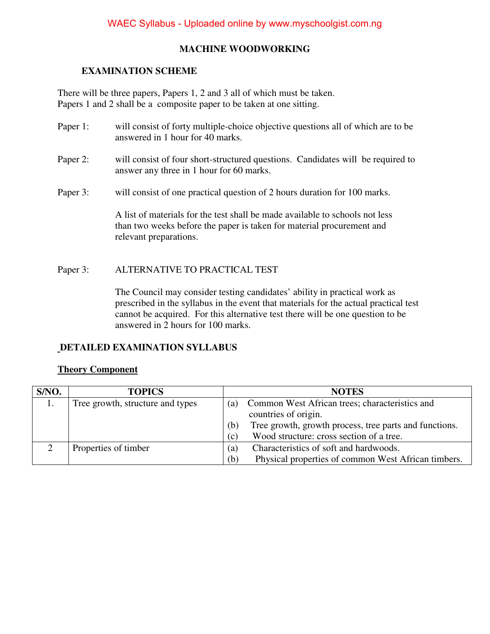### **MACHINE WOODWORKING**

#### **EXAMINATION SCHEME**

There will be three papers, Papers 1, 2 and 3 all of which must be taken. Papers 1 and 2 shall be a composite paper to be taken at one sitting.

- Paper 1: will consist of forty multiple-choice objective questions all of which are to be answered in 1 hour for 40 marks.
- Paper 2: will consist of four short-structured questions. Candidates will be required to answer any three in 1 hour for 60 marks.
- Paper 3: will consist of one practical question of 2 hours duration for 100 marks.

A list of materials for the test shall be made available to schools not less than two weeks before the paper is taken for material procurement and relevant preparations.

#### Paper 3: ALTERNATIVE TO PRACTICAL TEST

The Council may consider testing candidates' ability in practical work as prescribed in the syllabus in the event that materials for the actual practical test cannot be acquired. For this alternative test there will be one question to be answered in 2 hours for 100 marks.

### **DETAILED EXAMINATION SYLLABUS**

### **Theory Component**

| S/NO. | <b>TOPICS</b>                    |     | <b>NOTES</b>                                           |
|-------|----------------------------------|-----|--------------------------------------------------------|
| 1.    | Tree growth, structure and types | (a) | Common West African trees; characteristics and         |
|       |                                  |     | countries of origin.                                   |
|       |                                  | (b) | Tree growth, growth process, tree parts and functions. |
|       |                                  | (c) | Wood structure: cross section of a tree.               |
|       | Properties of timber             | (a) | Characteristics of soft and hardwoods.                 |
|       |                                  | (b) | Physical properties of common West African timbers.    |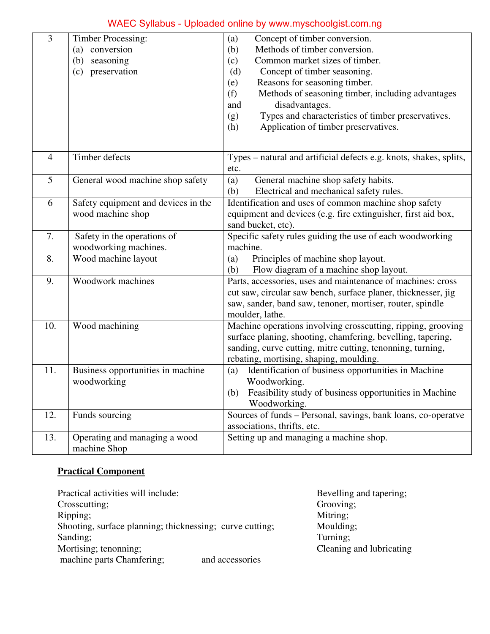# WAEC Syllabus - Uploaded online by www.myschoolgist.com.ng

| 3              | <b>Timber Processing:</b><br>conversion<br>(a)<br>seasoning<br>(b)<br>preservation<br>(c) | Concept of timber conversion.<br>(a)<br>Methods of timber conversion.<br>(b)<br>Common market sizes of timber.<br>(c)<br>Concept of timber seasoning.<br>(d)<br>Reasons for seasoning timber.<br>(e)<br>(f)<br>Methods of seasoning timber, including advantages<br>disadvantages.<br>and<br>Types and characteristics of timber preservatives.<br>(g)<br>Application of timber preservatives.<br>(h) |  |
|----------------|-------------------------------------------------------------------------------------------|-------------------------------------------------------------------------------------------------------------------------------------------------------------------------------------------------------------------------------------------------------------------------------------------------------------------------------------------------------------------------------------------------------|--|
| $\overline{4}$ | Timber defects                                                                            | Types - natural and artificial defects e.g. knots, shakes, splits,<br>etc.                                                                                                                                                                                                                                                                                                                            |  |
| 5              | General wood machine shop safety                                                          | General machine shop safety habits.<br>(a)<br>Electrical and mechanical safety rules.<br>(b)                                                                                                                                                                                                                                                                                                          |  |
| 6              | Safety equipment and devices in the<br>wood machine shop                                  | Identification and uses of common machine shop safety<br>equipment and devices (e.g. fire extinguisher, first aid box,<br>sand bucket, etc).                                                                                                                                                                                                                                                          |  |
| 7.             | Safety in the operations of<br>woodworking machines.                                      | Specific safety rules guiding the use of each woodworking<br>machine.                                                                                                                                                                                                                                                                                                                                 |  |
| 8.             | Wood machine layout                                                                       | Principles of machine shop layout.<br>(a)<br>Flow diagram of a machine shop layout.<br>(b)                                                                                                                                                                                                                                                                                                            |  |
| 9.             | Woodwork machines                                                                         | Parts, accessories, uses and maintenance of machines: cross<br>cut saw, circular saw bench, surface planer, thicknesser, jig<br>saw, sander, band saw, tenoner, mortiser, router, spindle<br>moulder, lathe.                                                                                                                                                                                          |  |
| 10.            | Wood machining                                                                            | Machine operations involving crosscutting, ripping, grooving<br>surface planing, shooting, chamfering, bevelling, tapering,<br>sanding, curve cutting, mitre cutting, tenonning, turning,<br>rebating, mortising, shaping, moulding.                                                                                                                                                                  |  |
| 11.            | Business opportunities in machine<br>woodworking                                          | Identification of business opportunities in Machine<br>(a)<br>Woodworking.<br>Feasibility study of business opportunities in Machine<br>(b)<br>Woodworking.                                                                                                                                                                                                                                           |  |
| 12.            | Funds sourcing                                                                            | Sources of funds – Personal, savings, bank loans, co-operatve<br>associations, thrifts, etc.                                                                                                                                                                                                                                                                                                          |  |
| 13.            | Operating and managing a wood<br>machine Shop                                             | Setting up and managing a machine shop.                                                                                                                                                                                                                                                                                                                                                               |  |

### **Practical Component**

| Practical activities will include:                       | Bevelling and tapering;  |
|----------------------------------------------------------|--------------------------|
| Crosscutting;                                            | Grooving;                |
| Ripping;                                                 | Mitring;                 |
| Shooting, surface planning; thicknessing; curve cutting; | Moulding;                |
| Sanding;                                                 | Turning;                 |
| Mortising; tenonning;                                    | Cleaning and lubricating |
| machine parts Chamfering;<br>and accessories             |                          |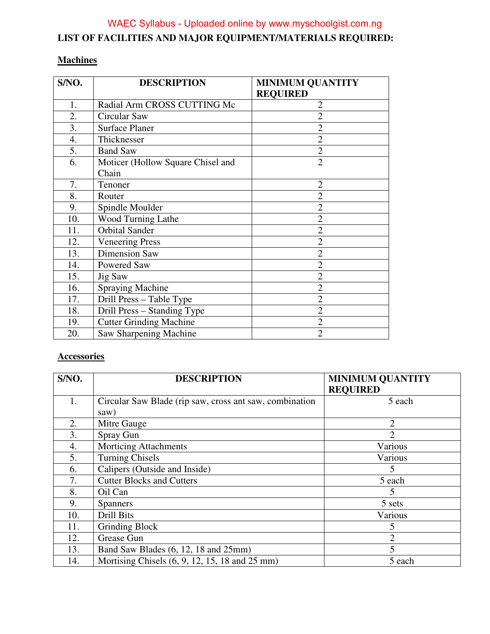## **LIST OF FACILITIES AND MAJOR EQUIPMENT/MATERIALS REQUIRED:**  WAEC Syllabus - Uploaded online by www.myschoolgist.com.ng

#### **Machines**

| S/NO. | <b>DESCRIPTION</b>                | <b>MINIMUM QUANTITY</b> |
|-------|-----------------------------------|-------------------------|
|       |                                   | <b>REQUIRED</b>         |
| 1.    | Radial Arm CROSS CUTTING Mc       | $\overline{2}$          |
| 2.    | Circular Saw                      | $\overline{2}$          |
| 3.    | <b>Surface Planer</b>             | $\overline{2}$          |
| 4.    | Thicknesser                       | $\overline{2}$          |
| 5.    | <b>Band Saw</b>                   | $\overline{2}$          |
| 6.    | Moticer (Hollow Square Chisel and | $\overline{2}$          |
|       | Chain                             |                         |
| 7.    | Tenoner                           | $\overline{2}$          |
| 8.    | Router                            | $\overline{2}$          |
| 9.    | Spindle Moulder                   | $\overline{2}$          |
| 10.   | Wood Turning Lathe                | $\overline{2}$          |
| 11.   | <b>Orbital Sander</b>             | $\overline{2}$          |
| 12.   | <b>Veneering Press</b>            | $\overline{2}$          |
| 13.   | <b>Dimension Saw</b>              | $\overline{2}$          |
| 14.   | Powered Saw                       | $\overline{2}$          |
| 15.   | Jig Saw                           | $\overline{2}$          |
| 16.   | <b>Spraying Machine</b>           | $\overline{2}$          |
| 17.   | Drill Press - Table Type          | $\overline{2}$          |
| 18.   | Drill Press – Standing Type       | $\overline{2}$          |
| 19.   | <b>Cutter Grinding Machine</b>    | $\overline{2}$          |
| 20.   | Saw Sharpening Machine            | $\overline{2}$          |

### **Accessories**

| S/NO. | <b>DESCRIPTION</b>                                      | <b>MINIMUM QUANTITY</b><br><b>REQUIRED</b> |
|-------|---------------------------------------------------------|--------------------------------------------|
|       |                                                         |                                            |
| 1.    | Circular Saw Blade (rip saw, cross ant saw, combination | 5 each                                     |
|       | saw)                                                    |                                            |
| 2.    | Mitre Gauge                                             | 2                                          |
| 3.    | Spray Gun                                               | $\overline{2}$                             |
| 4.    | <b>Morticing Attachments</b>                            | Various                                    |
| 5.    | <b>Turning Chisels</b>                                  | Various                                    |
| 6.    | Calipers (Outside and Inside)                           | 5                                          |
| 7.    | <b>Cutter Blocks and Cutters</b>                        | 5 each                                     |
| 8.    | Oil Can                                                 | 5                                          |
| 9.    | <b>Spanners</b>                                         | 5 sets                                     |
| 10.   | Drill Bits                                              | Various                                    |
| 11.   | Grinding Block                                          | 5                                          |
| 12.   | Grease Gun                                              | $\overline{2}$                             |
| 13.   | Band Saw Blades (6, 12, 18 and 25mm)                    | 5                                          |
| 14.   | Mortising Chisels (6, 9, 12, 15, 18 and 25 mm)          | 5 each                                     |